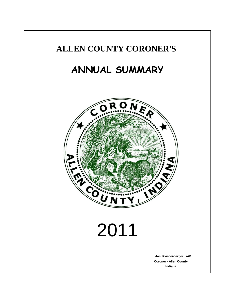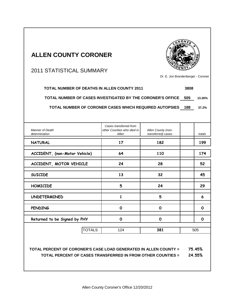

**ALLEN COUNTY CORONER** 

2011 STATISTICAL SUMMARY

Dr. E. Jon Brandenberger - Coroner

**TOTAL NUMBER OF DEATHS IN ALLEN COUNTY 2011 3808**

**505 13.26% TOTAL NUMBER OF CASES INVESTIGATED BY THE CORONER'S OFFICE**

**188 37.2% TOTAL NUMBER OF CORONER CASES WHICH REQUIRED AUTOPSIES**

| <b>Manner of Death</b><br>determination                                                                                         | Cases transferred from<br>other Counties who died in<br>Allen | Allen County (non-<br>transferred) cases | totals           |
|---------------------------------------------------------------------------------------------------------------------------------|---------------------------------------------------------------|------------------------------------------|------------------|
| <b>NATURAL</b>                                                                                                                  | 17                                                            | 182                                      | 199              |
| ACCIDENT, (non-Motor Vehicle)                                                                                                   | 64                                                            | 110                                      | 174              |
| ACCIDENT, MOTOR VEHICLE                                                                                                         | 24                                                            | 28                                       | 52               |
| <b>SUICIDE</b>                                                                                                                  | 13                                                            | 32                                       | 45               |
| <b>HOMICIDE</b>                                                                                                                 | 5                                                             | 24                                       | 29               |
| <b>UNDETERMINED</b>                                                                                                             | 1                                                             | 5                                        | 6                |
| <b>PENDING</b>                                                                                                                  | O                                                             | O                                        | 0                |
| Returned to be Signed by PHY                                                                                                    | O                                                             | O                                        | $\Omega$         |
| <b>TOTALS</b>                                                                                                                   | 124                                                           | 381                                      | 505              |
| TOTAL PERCENT OF CORONER'S CASE LOAD GENERATED IN ALLEN COUNTY =<br>TOTAL PERCENT OF CASES TRANSFERRED IN FROM OTHER COUNTIES = |                                                               |                                          | 75.45%<br>24.55% |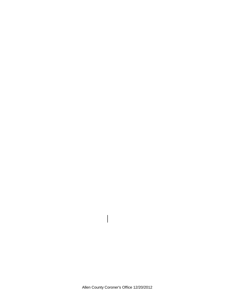$\Bigg\}$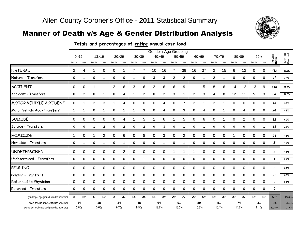### Manner of Death v/s Age & Gender Distribution Analysis



#### **Totals and percentages of entire annual case load**

|                                                  |                |                |                |                |                |                |                |                |                |                | Gender / Age Grouping |                |                |              |                |             |             |                |             |              |                         |                         |
|--------------------------------------------------|----------------|----------------|----------------|----------------|----------------|----------------|----------------|----------------|----------------|----------------|-----------------------|----------------|----------------|--------------|----------------|-------------|-------------|----------------|-------------|--------------|-------------------------|-------------------------|
|                                                  | 0 > 12         |                | 13 > 19        |                |                | 20 > 29        | 30 > 39        |                |                | 40 > 49        | 50 > 59               |                |                | 60 > 69      |                | 70 > 79     |             | 80>89          |             | $90 +$       | Total Cases /<br>Manner | % oF Total<br>Case Load |
|                                                  | female         | male           | female         | male           | female         | male           | female         | male           | female         | male           | female                | male           | female         | male         | female         | male        | female      | male           | female      | male         |                         |                         |
| NATURAL                                          | $\overline{2}$ | 4              | 1              | 0              | 0              | $\mathbf{1}$   | $\overline{7}$ | $\overline{7}$ | 10             | 16             | $\overline{7}$        | 39             | 16             | 37           | $\overline{c}$ | 15          | 6           | 12             | $\pmb{0}$   | 0            | 182                     | 36.0%                   |
| Natural - Transfers                              | 0              | 1              | $\mathbf 0$    | 1              | 0              | $\mathbf 0$    | -1             | 0              | 3              | 3              | 2                     | $\overline{c}$ | $\mathbf 0$    | $\mathbf 1$  | $\overline{2}$ | 1           | 0           | 0              | $\mathbf 0$ | 0            | 17                      | 3.4%                    |
| <b>ACCIDENT</b>                                  | $\Omega$       | 0              | 1              | 1              | $\overline{2}$ | 6              | 3              | 6              | $\overline{2}$ | 6              | 6                     | 9              | 1              | 5            | 8              | 6           | 14          | 12             | 13          | 9            | 110                     | 21.8%                   |
| Accident - Transfers                             | $\mathbf 0$    | $\overline{c}$ | $\mathbf 0$    | 1              | $\mathbf 0$    | $\overline{4}$ | 1              | 2              | 0              | $\overline{2}$ | 3                     | $\mathbf{1}$   | $\overline{2}$ | 3            | 4              | 8           | 12          | 11             | 5           | 3            | 64                      | 12.7%                   |
| MOTOR VEHICLE ACCIDENT                           | $\pmb{0}$      | 1              | $\overline{2}$ | 3              |                | 4              | $\mathbf 0$    | 0              | 0              | 4              | 0                     | $\overline{7}$ | $\overline{2}$ | $\mathbf{1}$ | $\overline{2}$ | 1           | 0           | 0              | $\pmb{0}$   | 0            | 28                      | 5.5%                    |
| Motor Vehicle Acc -Transfers                     | $\mathbf{1}$   | 1              | 0              |                | 0              | 1              |                | 3              | 0              | $\overline{4}$ | 0                     | 3              | 0              | 4            | 0              | 1           | 0           | 4              | 0           | 0            | 24                      | 4.8%                    |
| SUICIDE                                          | $\Omega$       | 0              | 0              | 0              | 0              | 4              | 1              | 5              | 1              | 6              | 1                     | 5              | $\Omega$       | 6            | 0              | 1           | $\Omega$    | $\overline{2}$ | 0           | 0            | 32                      | 6.3%                    |
| Suicide - Transfers                              | $\mathbf 0$    | $\mathbf 0$    | $\mathbf{1}$   | 2              | 0              | $\overline{2}$ | $\mathbf 0$    | $\overline{2}$ | $\mathbf 0$    | 3              | 0                     | $\mathbf{1}$   | $\mathbf 0$    | $\mathbf{1}$ | 0              | 0           | $\mathbf 0$ | $\mathbf 0$    | $\mathbf 0$ | $\mathbf{1}$ | 13                      | 2.6%                    |
| HOMICIDE                                         | -1             | 0              | $\overline{1}$ | $\overline{2}$ | 0              | 6              | $\mathbf 0$    | 8              | 0              | 3              | $\pmb{0}$             | $\overline{2}$ | 0              | $\mathbf 0$  | 0              | $\mathbf 0$ | $\mathbf 1$ | 0              | 0           | 0            | 24                      | 4.8%                    |
| Homicide - Transfers                             | $\mathbf 0$    | 1              | 0              |                | 0              | $\mathbf{1}$   | $\mathbf 0$    | 0              | 0              | $\overline{1}$ | 0                     |                | $\Omega$       | $\mathbf 0$  | 0              | 0           | 0           | 0              | 0           | 0            | 5                       | 1.0%                    |
| <b>UNDETERMINED</b>                              | $\Omega$       | 0              | 0              | 0              | 0              | $\overline{2}$ | $\Omega$       | 0              | 0              | 0              | 1                     | 1              | 1              | 0            | 0              | 0           | 0           | 0              | 0           | 0            | 5                       | 1.0%                    |
| Undetermined - Transfers                         | $\mathbf 0$    | 0              | $\mathbf 0$    | 0              | $\mathbf 0$    | $\mathbf 0$    | $\Omega$       | $\mathbf 1$    | 0              | $\mathbf 0$    | 0                     | $\mathbf{0}$   | $\Omega$       | $\Omega$     | 0              | 0           | $\mathbf 0$ | 0              | $\mathbf 0$ | $\Omega$     | $\mathbf{1}$            | 0.2%                    |
| PENDING                                          | $\mathbf 0$    | 0              | $\mathbf 0$    | 0              | 0              | $\mathbf 0$    | $\mathbf 0$    | 0              | $\mathbf 0$    | $\mathbf 0$    | 0                     | 0              | $\Omega$       | $\mathbf 0$  | 0              | $\mathbf 0$ | 0           | 0              | 0           | 0            | 0                       | $0.0\%$                 |
| Pending - Transfers                              | $\mathbf 0$    | 0              | 0              | 0              | $\mathbf 0$    | 0              | $\Omega$       | 0              | 0              | $\mathbf 0$    | 0                     | 0              | $\Omega$       | $\mathbf 0$  | 0              | 0           | 0           | 0              | $\mathbf 0$ | 0            | 0                       | 0.0%                    |
| Returned to Physician                            | $\Omega$       | 0              | 0              | 0              | $\Omega$       | $\mathbf 0$    | $\Omega$       | $\Omega$       | 0              | $\Omega$       | $\Omega$              | 0              | $\Omega$       | $\Omega$     | 0              | $\Omega$    | 0           | 0              | 0           | $\Omega$     | 0                       | $0.0\%$                 |
| Returned - Transfers                             | $\mathbf 0$    | 0              | $\mathbf 0$    | $\Omega$       | $\Omega$       | $\Omega$       | $\Omega$       | $\mathbf 0$    | 0              | $\Omega$       | $\Omega$              | $\mathbf 0$    | $\Omega$       | $\Omega$     | 0              | 0           | $\mathbf 0$ | 0              | $\mathbf 0$ | $\Omega$     | 0                       |                         |
| gender per age group (includes transfers)        | $\overline{4}$ | 10             | 6              | 12             | 3              | 31             | 14             | 34             | 16             | 48             | 20                    | 71             | 22             | 58           | 18             | 33          | 33          | 41             | 18          | 13           | 505                     | 100.0%                  |
| totals per age group, (includes transfers)       |                | 14             |                | 18             |                | 34             | 48             |                |                | 64             | 91                    |                |                | 80           |                | 51          |             | 74             | 31          |              | 505                     | 75.4%                   |
| percent of total case load (includes transfers): |                | 2.8%           |                | 3.6%           |                | 6.7%           | 9.5%           |                |                | 12.7%          | 18.0%                 |                |                | 15.8%        |                | 10.1%       |             | 14.7%          |             | 6.1%         | 100.00%                 | 24.6%                   |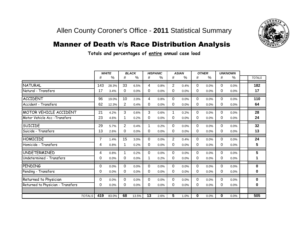



## Manner of Death v/s Race Distribution Analysis

**Totals and percentages of entire annual case load**

|                                   |     | <b>WHITE</b> |          | <b>BLACK</b> |                 | <b>HISPANIC</b> |   | <b>ASIAN</b> |              | <b>OTHER</b> |          | <b>UNKNOWN</b> |               |
|-----------------------------------|-----|--------------|----------|--------------|-----------------|-----------------|---|--------------|--------------|--------------|----------|----------------|---------------|
|                                   | #   | $\%$         | #        | %            | #               | %               | # | %            | #            | $\%$         | #        | $\frac{0}{0}$  | <b>TOTALS</b> |
| <b>NATURAL</b>                    | 143 | 28.3%        | 33       | 6.5%         | 4               | 0.8%            | 2 | 0.4%         | $\Omega$     | 0.0%         | $\Omega$ | 0.0%           | 182           |
| Natural - Transfers               | 17  | 3.4%         | 0        | 0.0%         | 0               | 0.0%            | 0 | 0.0%         | 0            | 0.0%         | 0        | 0.0%           | 17            |
| <b>ACCIDENT</b>                   | 96  | 19.0%        | 10       | 2.0%         | 4               | 0.8%            | 0 | 0.0%         | $\Omega$     | 0.0%         | $\Omega$ | 0.0%           | 110           |
| Accident - Transfers              | 62  | 12.3%        | 2        | 0.4%         | 0               | 0.0%            | 0 | 0.0%         | 0            | 0.0%         | 0        | 0.0%           | 64            |
| MOTOR VEHICLE ACCIDENT            | 21  | 4.2%         | 3        | 0.6%         | 3               | 0.6%            | 1 | 0.2%         | $\mathbf{0}$ | 0.0%         | $\Omega$ | 0.0%           | 28            |
| Motor Vehicle Acc - Transfers     | 23  | 4.6%         | 1        | 0.2%         | 0               | 0.0%            | 0 | 0.0%         | 0            | 0.0%         | 0        | 0.0%           | 24            |
| SUICIDE                           | 29  | 5.7%         | 2        | 0.4%         |                 | 0.2%            | 0 | 0.0%         | 0            | 0.0%         | $\Omega$ | 0.0%           | 32            |
| Suicide - Transfers               | 13  | 2.6%         | 0        | 0.0%         | 0               | 0.0%            | 0 | 0.0%         | 0            | 0.0%         | 0        | 0.0%           | 13            |
| <b>HOMICIDE</b>                   | 7   | 1.4%         | 15       | 3.0%         | $\Omega$        | 0.0%            | 2 | 0.4%         | $\Omega$     | 0.0%         | 0        | 0.0%           | 24            |
| Homicide - Transfers              | 4   | 0.8%         | 1        | 0.2%         | 0               | 0.0%            | 0 | 0.0%         | 0            | 0.0%         | 0        | 0.0%           | 5             |
| <b>UNDETERMINED</b>               | 4   | 0.8%         | 1        | 0.2%         | $\Omega$        | 0.0%            | 0 | 0.0%         | 0            | 0.0%         | $\Omega$ | 0.0%           | 5             |
| Undetermined - Transfers          | 0   | 0.0%         | 0        | 0.0%         |                 | 0.2%            | 0 | 0.0%         | 0            | 0.0%         | 0        | 0.0%           |               |
| PENDING                           | 0   | 0.0%         | 0        | 0.0%         | $\Omega$        | 0.0%            | 0 | 0.0%         | 0            | 0.0%         | $\Omega$ | 0.0%           | 0             |
| Pending - Transfers               | 0   | 0.0%         | 0        | 0.0%         | 0               | 0.0%            | 0 | 0.0%         | 0            | 0.0%         | 0        | 0.0%           | 0             |
| Returned to Physician             | 0   | 0.0%         | $\Omega$ | 0.0%         | $\Omega$        | 0.0%            | 0 | 0.0%         | $\Omega$     | 0.0%         | $\Omega$ | 0.0%           | 0             |
| Returned to Physician - Transfers | 0   | 0.0%         | 0        | 0.0%         | 0               | 0.0%            | 0 | 0.0%         | 0            | 0.0%         | 0        | 0.0%           | 0             |
|                                   |     |              |          |              |                 |                 |   |              |              |              |          |                |               |
| <b>TOTALS</b>                     | 419 | 83.0%        | 68       | 13.5%        | $\overline{13}$ | 2.6%            | 5 | 1.0%         | $\bf{0}$     | 0.0%         | 0        | 0.0%           | 505           |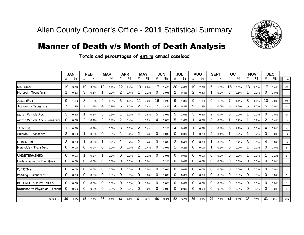

# Manner of Death v/s Month of Death Analysis

**Totals and percentages of entire annual caseload**

|                                |    | <b>JAN</b> |                | <b>FEB</b> |    | <b>MAR</b> |          | <b>APR</b> |                | <b>MAY</b> |    | <b>JUN</b> |    | JUL     |          | <b>AUG</b> |          | <b>SEPT</b> |    | <b>OCT</b> |    | <b>NOV</b> |    | <b>DEC</b> |                |
|--------------------------------|----|------------|----------------|------------|----|------------|----------|------------|----------------|------------|----|------------|----|---------|----------|------------|----------|-------------|----|------------|----|------------|----|------------|----------------|
|                                | #  | %          | #              | %          | #  | %          | #        | %          | #              | %          | #  | %          | #  | %       | #        | %          | #        | %           | #  | %          | #  | %          | #  | %          | <b>TOTAL</b>   |
| <b>NATURAL</b>                 | 19 | 3.8%       | 19             | 3.8%       | 12 | 2.4%       | 22       | 4.4%       | 13             | 2.6%       | 17 | 3.4%       | 20 | 4.0%    | 10       | 2.0%       | 5        | 1.0%        | 15 | 3.0%       | 13 | 2.6%       | 17 | 3.4%       | 182            |
| Natural - Transfers            |    | 0.2%       | 3              | 0.6%       |    | 0.2%       | 2        | 0.4%       |                | 0.2%       | 0  | 0.0%       | 2  | 0.4%    | 2        | 0.4%       |          | 0.2%        | 3  | 0.6%       |    | 0.2%       | 0  | 0.0%       | 17             |
| <b>ACCIDENT</b>                | 9  | 1.8%       | 8              | 1.6%       | 9  | 1.8%       | 5        | 1.0%       | 11             | 2.2%       | 16 | 3.2%       | 9  | 1.8%    | 9        | 1.8%       | 9        | 1.8%        | 7  | 1.4%       | 8  | 1.6%       | 10 | 2.0%       | 110            |
| Accident - Transfers           |    | 1.4%       |                | 1.4%       | 4  | 0.8%       | 5        | 1.0%       | 2              | 0.4%       |    | 1.4%       | 4  | 0.8%    | 9        | 1.8%       | 3        | 0.6%        | 6  | 1.2%       | 5  | 1.0%       | 5  | 1.0%       | 64             |
| Motor Vehicle Acc              | 3  | 0.6%       |                | 0.2%       | 3  | 0.6%       |          | 2.0%       | 4              | 0.8%       | 5  | 1.0%       | 5  | 1.0%    | 3        | 0.6%       | 2        | 0.4%        | 0  | 0.0%       |    | 0.2%       | 0  | 0.0%       | 28             |
| Motor Vehicle Acc - Transfers  | 0  | 0.0%       |                | 0.4%       | 2  | 0.4%       | 2        | 0.4%       |                | 0.2%       | 4  | 0.8%       | 5  | 1.0%    |          | 0.2%       | 3        | 0.6%        |    | 0.2%       |    | 0.2%       | 2  | 0.4%       | 24             |
| SUICIDE                        |    | 0.2%       | $\overline{2}$ | 0.4%       | 3  | 0.6%       | 3        | 0.6%       | $\overline{2}$ | 0.4%       |    | 0.2%       | 4  | 0.8%    |          | 0.2%       | 2        | 0.4%        | 6  | 1.2%       | 3  | 0.6%       | 4  | 0.8%       | 32             |
| Suicide - Transfers            | 3  | 0.6%       |                | 0.2%       | 0  | 0.0%       | 2        | 0.4%       | 2              | 0.4%       | 0  | 0.0%       | 0  | 0.0%    |          | 0.2%       | 2        | 0.4%        |    | 0.2%       |    | 0.2%       | 0  | 0.0%       | 13             |
| <b>HOMICIDE</b>                | 3  | 0.6%       |                | 0.2%       |    | 0.2%       | 2        | 0.4%       | 2              | 0.4%       | 3  | 0.6%       | 2  | 0.4%    | 0        | 0.0%       |          | 0.2%        | 2  | 0.4%       | 3  | 0.6%       | 4  | 0.8%       | 24             |
| Homicide - Transfers           | 0  | 0.0%       | $\Omega$       | 0.0%       | 0  | 0.0%       | 0        | 0.0%       | 2              | 0.4%       | 0  | 0.0%       |    | 0.2%    | 0        | 0.0%       |          | 0.2%        | 0  | 0.0%       |    | 0.2%       | 0  | 0.0%       | 5 <sup>5</sup> |
| <b>UNDETERMINED</b>            | 0  | 0.0%       |                | 0.2%       |    | 0.2%       | 0        | 0.0%       |                | 0.2%       | 0  | 0.0%       | 0  | 0.0%    | 0        | 0.0%       | 0        | 0.0%        | 0  | 0.0%       |    | 0.2%       |    | 0.2%       | 5 <sup>5</sup> |
| Undetermined - Transfers       | 0  | 0.0%       | $\Omega$       | 0.0%       | 0  | 0.0%       | 0        | 0.0%       | 0              | 0.0%       |    | 0.2%       | 0  | 0.0%    | 0        | 0.0%       | $\Omega$ | 0.0%        | 0  | 0.0%       | 0  | 0.0%       | 0  | 0.0%       | $\mathbf{1}$   |
| PENDING                        | 0  | 0.0%       | $\Omega$       | 0.0%       | 0  | 0.0%       | 0        | 0.0%       | 0              | 0.0%       | 0  | 0.0%       | 0  | 0.0%    | 0        | 0.0%       | 0        | 0.0%        | 0  | 0.0%       | 0  | 0.0%       | 0  | 0.0%       | $\mathbf 0$    |
| Pending - Transfers            | 0  | 0.0%       | $\Omega$       | 0.0%       | 0  | 0.0%       | 0        | 0.0%       | 0              | 0.0%       | 0  | 0.0%       | 0  | $0.0\%$ | 0        | 0.0%       | $\Omega$ | 0.0%        | 0  | 0.0%       | 0  | 0.0%       | 0  | 0.0%       | $\overline{0}$ |
| <b>RETURN TO PHYSICIAN</b>     | 0  | 0.0%       | 0              | 0.0%       | 0  | 0.0%       | 0        | 0.0%       | 0              | 0.0%       | 0  | 0.0%       | 0  | 0.0%    | 0        | 0.0%       | 0        | 0.0%        | 0  | 0.0%       | 0  | 0.0%       | 0  | 0.0%       | $\mathbf 0$    |
| Returned to Physician - Transf | 0  | 0.0%       | $\Omega$       | 0.0%       | 0  | 0.0%       | $\Omega$ | 0.0%       | 0              | 0.0%       | 0  | 0.0%       | 0  | 0.0%    | $\Omega$ | $0.0\%$    | 0        | 0.0%        | 0  | 0.0%       | 0  | 0.0%       | 0  | 0.0%       | $\mathbf{0}$   |
|                                |    |            |                |            |    |            |          |            |                |            |    |            |    |         |          |            |          |             |    |            |    |            |    |            |                |
| <b>TOTALS</b>                  | 46 | 9.1%       | 45             | 8.9%       | 36 | 7.1%       | 44       | 8.7%       | 41             | 8.1%       | 54 | 10.7%      | 52 | 10.3%   | 36       | 7.1%       | 29       | 5.7%        | 41 | 8.1%       | 38 | 7.5%       | 43 | 8.5%       | 505            |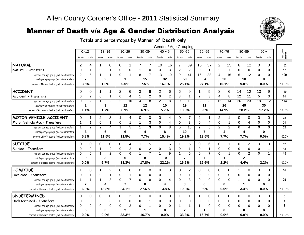### Manner of Death v/s Age & Gender Distribution Analysis



Totals and percentages by **Manner of Death only**

|  | Gender / Age Grouping |
|--|-----------------------|
|  |                       |

|                                                   | 0 > 12         |                | 13 > 19        |                |                | 20 > 29        | 30 > 39        |                | 40 > 49        | 1401 <i>1 1</i> 40 | ິ<br>50 > 59 | սթուց          | 60>69           |                |                 | 70 > 79         | 80>89    |                 | $90 +$          |                 |                         |
|---------------------------------------------------|----------------|----------------|----------------|----------------|----------------|----------------|----------------|----------------|----------------|--------------------|--------------|----------------|-----------------|----------------|-----------------|-----------------|----------|-----------------|-----------------|-----------------|-------------------------|
|                                                   | female         | male           | female         | male           | female         | male           | female         | male           | female         | male               | female       | male           | female          | male           | female          | male            | female   | male            | female          | male            | Total Cases /<br>Manner |
|                                                   |                |                |                |                |                |                |                |                |                |                    |              |                |                 |                |                 |                 |          |                 |                 |                 |                         |
| <b>NATURAL</b>                                    | $\overline{2}$ | 4              |                | 0              | 0              | 1              | $\overline{7}$ | $\overline{7}$ | 10             | 16                 | 7            | 39             | 16              | 37             | $\overline{2}$  | 15              | 6        | 12              | 0               | 0               | 182                     |
| Natural - Transfers                               | 0              | 1              | $\Omega$       | 1              | 0              | 0              | -1             | 0              | 3              | 3                  | 2            | 2              | $\Omega$        | -1             | 2               | 1               | $\Omega$ | $\Omega$        | 0               | 0               | 17                      |
| gender per age group (includes transfers)         | $\overline{2}$ | 5              |                | 1              | $\Omega$       | 1              | 8              |                | 13             | 19                 | 9            | 41             | $\overline{16}$ | 38             | 4               | $\overline{16}$ | 6        | 12              | $\Omega$        | 0               | 199                     |
| totals per age group, (includes transfers)        | $\overline{7}$ |                | $\overline{2}$ |                |                | 1              | 15             |                | 32             |                    | 50           |                | 54              |                |                 | 20              | 18       |                 | 0               |                 |                         |
| percent of Natural deaths (includes transfers):   | 3.5%           |                | 1.0%           |                |                | 0.5%           | 7.5%           |                | 16.1%          |                    | 25.1%        |                | 27.1%           |                |                 | 10.1%           | 9.0%     |                 | 0.0%            |                 | 100.0%                  |
| ACCIDENT                                          | 0              | 0              |                | 1              | 2              | 6              | 3              | 6              | $\overline{2}$ | 6                  | 6            | 9              | 1               | 5              | 8               | 6               | 14       | 12              | 13              | 9               | 110                     |
| Accident - Transfers                              | $\Omega$       | 2              | $\Omega$       | 1              | $\Omega$       | 4              | 1              | 2              | 0              | $\overline{c}$     | 3            |                | $\overline{2}$  | $\mathbf{3}$   | 4               | 8               | 12       | 11              | 5               | 3               | 64                      |
| gender per age group (includes transfers)         | $\mathbf 0$    | $\overline{2}$ |                | $\overline{2}$ | $\overline{2}$ | 10             | 4              | 8              | 2              | $\overline{8}$     | 9            | 10             | 3               | 8              | $\overline{12}$ | $\overline{14}$ | 26       | $\overline{23}$ | $\overline{18}$ | $\overline{12}$ | 174                     |
| totals per age group, (includes transfers)        | 2              |                | 3              |                |                | 12             | 12             |                | 10             |                    | 19           |                | 11              |                |                 | 26              | 49       |                 | 30              |                 |                         |
| percent of Accidental deaths (includes transfers) | 1.1%           |                | 1.7%           |                |                | 6.9%           | 6.9%           |                | 5.7%           |                    | 10.9%        |                | 6.3%            |                |                 | 14.9%           | 28.2%    |                 | 17.2%           |                 | 100.0%                  |
| MOTOR VEHICLE ACCIDENT                            | 0              | 1              | $\overline{2}$ | 3              |                | 4              | 0              | 0              | 0              | 4                  | 0            | $\overline{7}$ | 2               | -1             | 2               | 1               | 0        | 0               | 0               | 0               | 28                      |
| Motor Vehicle Acc - Transfers                     | -1             | 1              | 0              | 1              | 0              | 1              | 1              | 3              | 0              | 4                  | 0            | 3              | $\mathbf 0$     | $\overline{4}$ | 0               |                 | 0        | 4               | 0               | 0               | 24                      |
| gender per age group (includes transfers):        | $\mathbf 1$    | 2              | 2              | 4              | 1              | 5              | 1              | 3              | $\Omega$       | 8                  | 0            | 10             | 2               | 5              | 2               | 2               | $\Omega$ | 4               | $\Omega$        | 0               | 52                      |
| totals per age group, (includes transfers)        | 3              |                | 6              |                |                | 6              | 4              |                | 8              |                    | 10           |                | 7               |                |                 | 4               | 4        |                 | 0               |                 |                         |
| percent of MVA deaths (includes transfers)        | 5.8%           |                | 11.5%          |                |                | 11.5%          | 7.7%           |                | 15.4%          |                    | 19.2%        |                | 13.5%           |                |                 | 7.7%            | 7.7%     |                 | 0.0%            |                 | 100.0%                  |
| SUICIDE                                           | 0              | 0              | 0              | 0              | 0              | 4              |                | 5              |                | 6                  |              | 5              | 0               | 6              | 0               | 1               | 0        | $\overline{2}$  | 0               | 0               | 32                      |
| Suicide - Transfers                               | 0              | $\mathbf 0$    |                | 2              | $\mathbf 0$    | $\overline{c}$ | $\Omega$       | $\overline{c}$ | 0              | 3                  | 0            | 1              | 0               | 1              | 0               | 0               | 0        | 0               | 0               | 1               | 13                      |
| gender per age group (includes transfers)         | $\Omega$       | $\Omega$       |                | 2              | 0              | 6              | -1             | 7              | 1              | 9                  | 1            | 6              | $\Omega$        |                | 0               | 1               | $\Omega$ | 2               | 0               | 1               | 45                      |
| totals per age group, (includes transfers)        | 0              |                | 3              |                |                | 6              | 8              |                | 10             |                    | 7            |                |                 |                |                 |                 | 2        |                 |                 |                 |                         |
| percent of Suicide deaths (includes transfers)    | 0.0%           |                | 6.7%           |                |                | 13.3%          | 17.8%          |                | 22.2%          |                    | 15.6%        |                | 15.6%           |                |                 | 2.2%            | 4.4%     |                 | 2.2%            |                 | 100.0%                  |
| <b>HOMICIDE</b>                                   | 1              | 0              |                | $\overline{2}$ | 0              | 6              | 0              | 8              | 0              | 3                  | 0            | $\overline{2}$ | 0               | 0              | 0               | 0               | 1        | 0               | 0               | 0               | 24                      |
| Homicide - Transfers                              | 0              | 1              | 0              | 1              | 0              | 1              | $\Omega$       | $\Omega$       | 0              | $\mathbf{1}$       | 0            | -1             | $\Omega$        | $\mathbf 0$    | 0               | $\Omega$        | $\Omega$ | $\Omega$        | 0               | 0               | 5                       |
| gender per age group (includes transfers)         | 1              | 1              |                | 3              | $\Omega$       | $\overline{7}$ | $\Omega$       | 8              | $\Omega$       | $\overline{4}$     | 0            | 3              | $\Omega$        | $\Omega$       | $\Omega$        | $\Omega$        | 1        | $\Omega$        | $\Omega$        | $\Omega$        | $\overline{29}$         |
| totals per age group, (includes transfers)        | $\mathbf{2}$   |                | 4              |                |                | 7              | 8              |                | 4              |                    | 3            |                | 0               |                |                 | 0               |          |                 | 0               |                 |                         |
| percent of Homicide deaths (includes transfers).  | 6.9%           |                | 13.8%          |                |                | 24.1%          | 27.6%          |                | 13.8%          |                    | 10.3%        |                | 0.0%            |                |                 | $0.0\%$         | 3.4%     |                 | 0.0%            |                 | 100.0%                  |
| <b>UNDETERMINED</b>                               | 0              | 0              | 0              | 0              | 0              | 2              | 0              | 0              | 0              | 0                  |              | 1              |                 | 0              | 0               | 0               | 0        | 0               | 0               | 0               | 5                       |
| Undetermined - Transfers                          | 0              | $\mathbf 0$    | $\mathbf 0$    | 0              | 0              | $\Omega$       | 0              |                | 0              | $\mathbf 0$        | $\Omega$     | $\mathbf 0$    | 0               | $\Omega$       | 0               | 0               | $\Omega$ | 0               | 0               | 0               | $\overline{1}$          |
| gender per age group (includes transfers)         | 0              | $\Omega$       | $\Omega$       | $\Omega$       | $\Omega$       | $\overline{2}$ | 0              |                | 0              | $\overline{0}$     | 1            |                | 1               | $\Omega$       | $\Omega$        | $\Omega$        | $\Omega$ | $\Omega$        | $\Omega$        | 0               | 6                       |
| totals per age group, (includes transfers)        | 0              |                | 0              |                |                | $\mathbf{2}$   | 1              |                | 0              |                    | $\mathbf{2}$ |                | 1               |                |                 | 0               | 0        |                 | 0               |                 |                         |
| percent of Homicide deaths (includes transfers)   | 0.0%           |                | 0.0%           |                |                | 33.3%          | 16.7%          |                | 0.0%           |                    | 33.3%        |                | 16.7%           |                |                 | 0.0%            | 0.0%     |                 | 0.0%            |                 | 100.0%                  |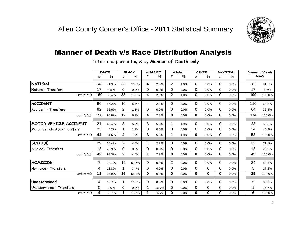

#### Manner of Death v/s Race Distribution Analysis

Totals and percentages by **Manner of Death only**

|                               |     | <b>WHITE</b> |                | <b>BLACK</b> |   | <b>HISPANIC</b> |              | <b>ASIAN</b> |              | <b>OTHER</b> |          | <b>UNKNOWN</b> |     | <b>Manner of Death</b> |
|-------------------------------|-----|--------------|----------------|--------------|---|-----------------|--------------|--------------|--------------|--------------|----------|----------------|-----|------------------------|
|                               | #   | %            | $\#$           | %            | # | %               | #            | $\%$         | #            | %            | #        | %              |     | <b>Totals</b>          |
| <b>NATURAL</b>                | 143 | 71.9%        | 33             | 16.6%        | 4 | 2.0%            | 2            | 1.0%         | $\Omega$     | 0.0%         | 0        | 0.0%           | 182 | 91.5%                  |
| Natural - Transfers           | 17  | 8.5%         | 0              | 0.0%         | 0 | 0.0%            | 0            | 0.0%         | 0            | 0.0%         | 0        | 0.0%           | 17  | 8.5%                   |
| sub totals                    | 160 | 80.4%        | 33             | 16.6%        | 4 | 2.0%            | $\mathbf{2}$ | 1.0%         | $\Omega$     | 0.0%         | 0        | 0.0%           | 199 | 100.0%                 |
| <b>ACCIDENT</b>               | 96  | 55.2%        | 10             | 5.7%         | 4 | 2.3%            | 0            | 0.0%         | 0            | 0.0%         | 0        | 0.0%           | 110 | 63.2%                  |
| Accident - Transfers          | 62  | 35.6%        | 2              | 1.1%         | 0 | 0.0%            | 0            | 0.0%         | 0            | 0.0%         | 0        | 0.0%           | 64  | 36.8%                  |
| sub totals                    | 158 | 90.8%        | 12             | 6.9%         | 4 | 2.3%            | 0            | 0.0%         | $\mathbf{0}$ | 0.0%         | 0        | 0.0%           | 174 | 100.0%                 |
| <b>MOTOR VEHICLE ACCIDENT</b> | 21  | 40.4%        | 3              | 5.8%         | 3 | 5.8%            | 1            | 1.9%         | 0            | 0.0%         | 0        | 0.0%           | 28  | 53.8%                  |
| Motor Vehicle Acc -Transfers  | 23  | 44.2%        | $\mathbf{1}$   | 1.9%         | 0 | 0.0%            | 0            | 0.0%         | 0            | 0.0%         | 0        | 0.0%           | 24  | 46.2%                  |
| sub totals                    | 44  | 84.6%        | 4              | 7.7%         | 3 | 5.8%            | 1            | 1.9%         | $\mathbf{0}$ | 0.0%         | 0        | 0.0%           | 52  | 100.0%                 |
| <b>SUICIDE</b>                | 29  | 64.4%        | $\overline{2}$ | 4.4%         |   | 2.2%            | 0            | 0.0%         | $\Omega$     | 0.0%         | 0        | 0.0%           | 32  | 71.1%                  |
| Suicide - Transfers           | 13  | 28.9%        | 0              | 0.0%         | 0 | 0.0%            | 0            | 0.0%         | 0            | 0.0%         | 0        | 0.0%           | 13  | 28.9%                  |
| sub totals                    | 42  | 93.3%        | $\mathbf{2}$   | 4.4%         | 1 | 2.2%            | 0            | 0.0%         | $\bf{0}$     | 0.0%         | 0        | 0.0%           | 45  | 100.0%                 |
| <b>HOMICIDE</b>               | 7   | 24.1%        | 15             | 51.7%        | 0 | 0.0%            | 2            | 0.0%         | $\Omega$     | 0.0%         | $\Omega$ | 0.0%           | 24  | 82.8%                  |
| 'Homicide - Transfers         | 4   | 13.8%        | 1              | 3.4%         | 0 | 0.0%            | 0            | 0.0%         | 0            | 0            | 0        | 0.0%           | 5   | 17.2%                  |
| sub totals                    | 11  | 37.9%        | 16             | 55.2%        | 0 | 0.0%            | 0            | 0.0%         | 0            | 0            | 0        | 0.0%           | 29  | 100.0%                 |
| Undetermined                  | 4   | 66.7%        | 1              | 16.7%        | 0 | 0.0%            | 0            | 0.0%         | $\Omega$     | 0.0%         | 0        | 0.0%           | 5   | 83.3%                  |
| Undetermined - Transfers      | 0   | 0.0%         | 0              | 0.0%         |   | 16.7%           | 0            | 0.0%         | 0            | 0            | 0        | 0.0%           | 1   | 16.7%                  |
| sub totals                    | 4   | 66.7%        | 1              | 16.7%        | 1 | 16.7%           | 0            | 0.0%         | 0            | 0            | 0        | 0.0%           | 6   | 100.0%                 |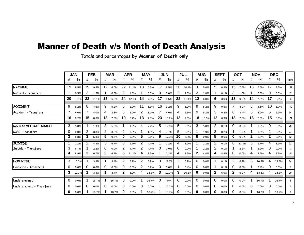

# Manner of Death v/s Month of Death Analysis

Totals and percentages by **Manner of Death only**

|                            |    | <b>JAN</b> |    | <b>FEB</b> |    | <b>MAR</b> |                | <b>APR</b> |                | <b>MAY</b> |    | <b>JUN</b> |                | <b>JUL</b> |          | <b>AUG</b> |    | <b>SEPT</b> |              | <b>OCT</b> |              | <b>NOV</b> |              | <b>DEC</b> |              |
|----------------------------|----|------------|----|------------|----|------------|----------------|------------|----------------|------------|----|------------|----------------|------------|----------|------------|----|-------------|--------------|------------|--------------|------------|--------------|------------|--------------|
|                            | #  | $\%$       | #  | %          | #  | ℅          | #              | %          | #              | $\%$       | #  | %          | #              | $\%$       | #        | $\%$       | #  | %           | #            | %          | #            | %          | #            | %          | <b>TOTAL</b> |
| <b>NATURAL</b>             | 19 | 9.5%       | 19 | 9.5%       | 12 | 6.0%       | 22             | 11.1%      | 13             | 6.5%       | 17 | 8.5%       | 20             | 10.1%      | 10       | 5.0%       | 5  | 0.3%        | 15           | 7.5%       | 13           | 6.5%       | 17           | 8.5%       | 182          |
| Natural - Transfers        |    | 0.5%       | 3  | 1.5%       |    | 0.5%       | 2              | 1.0%       |                | 0.5%       | 0  | 0.0%       | 2              | 1.0%       | 2        | 1.0%       |    | 0.1%        | 3            | 1.5%       |              | 0.5%       | 0            | 0.0%       | 17           |
|                            | 20 | 10.1%      | 22 | 11.1%      | 13 | 6.5%       | 24             | 12.1%      | 14             | 7.0%       | 17 | 8.5%       | 22             | 11.1%      | 12       | 6.0%       | 6  | 3.0%        | 18           | 9.0%       | 14           | 7.0%       | 17           | 8.5%       | 199          |
| <b>ACCIDENT</b>            | 9  | 5.2%       | 8  | 4.6%       | 9  | 5.2%       | 5              | 2.9%       | 11             | 6.3%       | 16 | 9.2%       | 9              | 5.2%       | 9        | 5.2%       | 9  | 0.5%        |              | 4.0%       | 8            | 4.6%       | 10           | 5.7%       | 110          |
| Accident - Transfers       |    | 4.0%       |    | 4.0%       | 4  | 2.3%       | 5              | 2.9%       | 2              | 1.1%       |    | 4.0%       | 4              | 2.3%       | 9        | 5.2%       | 3  | 0.2%        | 6            | 3.4%       | 5            | 2.9%       | 5            | 2.9%       | 64           |
|                            | 16 | 9.2%       | 15 | 8.6%       | 13 | 7.5%       | 10             | 5.7%       | 13             | 7.5%       | 23 | 13.2%      | 13             | 7.5%       | 18       | 10.3%      | 12 | 6.9%        | 13           | 7.5%       | 13           | 7.5%       | 15           | 8.6%       | 174          |
| <b>MOTOR VEHICLE CRASH</b> | 3  | 5.8%       |    | 1.9%       | 3  | 5.8%       |                | 1.9%       | 4              | 7.7%       | 5  | 12.0%      | 5              | 9.6%       | 3        | 5.8%       | 2  | 0.1%        | $\Omega$     | 0.0%       |              | 1.9%       | 0            | 0.0%       | 28           |
| <b>MVC</b> - Transfers     | 0  | 0.0%       | 2  | 3.8%       | 2  | 3.8%       | 2              | 3.8%       |                | 1.9%       | 4  | 7.7%       | 5              | 9.6%       |          | 1.9%       | 3  | 0.2%        |              | 1.9%       |              | 1.9%       | 2            | 3.8%       | 24           |
|                            | 3  | 5.8%       | 3  | 5.8%       | 5  | 9.6%       | 0              | 0.0%       | 5              | 9.6%       | 9  | 17.3%      | 10             | 19.2%      | 0        | 0.0%       | 5  | 9.6%        | 0            | 0.0%       | $\mathbf{2}$ | 3.8%       | $\mathbf{2}$ | 3.8%       | 52           |
| <b>SUICIDE</b>             |    | 2.2%       |    | 4.4%       | 3  | 6.7%       | 3              | 6.7%       | 2              | 4.4%       |    | 2.2%       | 4              | 8.9%       |          | 2.2%       |    | 0.1%        | 6            | 13.3%      | 3            | 6.7%       |              | 8.9%       | 32           |
| Suicide - Transfers        | 3  | 6.7%       |    | 2.2%       | 0  | 0.0%       | 2              | 4.4%       | 2              | 4.4%       | 0  | 0.0%       | 0              | 0.0%       |          | 2.2%       | 2  | 0.1%        |              | 2.2%       |              | 2.2%       |              | 0.0%       | 13           |
|                            | 4  | 8.9%       | 3  | 6.7%       | 3  | 6.7%       | 5              | 11.1%      | 4              | 8.9%       |    | 2.2%       | 4              | 8.9%       | 2        | 4.4%       | 4  | 8.9%        | 0            | 0.0%       | 4            | 8.9%       |              | 8.9%       | 45           |
| <b>HOMICIDE</b>            | 3  | 10.3%      |    | 3.4%       |    | 3.4%       | $\overline{2}$ | 6.9%       | $\overline{2}$ | 6.9%       | 3  | 10.3%      | $\overline{2}$ | 6.9%       | 0        | 0.0%       |    | 0.1%        | 2            | 6.9%       | 3            | 10.3%      | 4            | 13.8%      | 24           |
| Homicide - Transfers       | 0  | 0.0%       | 0  | 0.0%       | 0  | 0.0%       | 0              | 0.0%       | $\overline{2}$ | 6.9%       | 0  | 0.0%       |                | 3.4%       | 0        | 0.0%       |    | 0.1%        | 0            | 0.0%       |              | 3.4%       | 0            | 0.0%       | 5            |
|                            | 3  | 10.3%      |    | 3.4%       |    | 3.4%       | $\mathbf{2}$   | 6.9%       | 4              | 13.8%      | 3  | 10.3%      | 3              | 10.3%      | 0        | 0.0%       | 2  | 6.9%        | $\mathbf{2}$ | 6.9%       | 4            | 13.8%      | 4            | 13.8%      | 29           |
| Undetermined               | 0  | 0.0%       |    | 16.7%      |    | 16.7%      | 0              | 0.0%       |                | 16.7%      | 0  | 0.0%       | 0              | 0.0%       | $\Omega$ | 0.0%       | 0  | 0.0%        | 0            | 0.0%       |              | 16.7%      |              | 16.7%      | 5            |
| Undetermined - Transfers   | 0  | 0.0%       | 0  | 0.0%       | 0  | 0.0%       | 0              | 0.0%       | 0              | 0.0%       |    | 16.7%      | 0              | 0.0%       | 0        | 0.0%       | 0  | 0.0%        | 0            | 0.0%       | 0            | 0.0%       | 0            | 0.0%       |              |
|                            | 0  | 0.0%       |    | 16.7%      |    | 16.7%      | 0              | 0.0%       |                | 16.7%      |    | 16.7%      | 0              | 0.0%       | 0        | 0.0%       | 0  | 0.0%        | 0            | 0.0%       |              | 16.7%      |              | 16.7%      |              |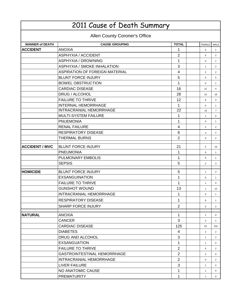|                        | 2011 Cause of Death Summary           |                |                              |                                |
|------------------------|---------------------------------------|----------------|------------------------------|--------------------------------|
|                        | Allen County Coroner's Office         |                |                              |                                |
| <b>MANNER of DEATH</b> | <b>CAUSE GROUPING</b>                 | <b>TOTAL</b>   | <b>FEMALE</b>                | MALE                           |
| <b>ACCIDENT</b>        | <b>ANOXIA</b>                         | 1              | $\mathbf 0$                  | $\mathbf{1}$                   |
|                        | <b>ASPHYXIA / ACCIDENT</b>            | $\overline{2}$ | 0                            | $\overline{2}$                 |
|                        | <b>ASPHYXIA / DROWNING</b>            | 1              | $\mathbf 0$                  | $\mathbf{1}$                   |
|                        | <b>ASPHYXIA / SMOKE INHALATION</b>    | $\mathbf{3}$   | $\mathbf{1}$                 | $\overline{2}$                 |
|                        | <b>ASPIRATION OF FOREIGN MATERIAL</b> | $\overline{4}$ | $\overline{2}$               | $\overline{2}$                 |
|                        | <b>BLUNT FORCE INJURY</b>             | 5              | $\mathbf 0$                  | 5                              |
|                        | <b>BOWEL OBSTRUCTION</b>              | $\mathbf{1}$   | $\mathbf 0$                  | $\mathbf{1}$                   |
|                        | <b>CARDIAC DISEASE</b>                | 16             | 12                           | $\overline{4}$                 |
|                        | DRUG / ALCOHOL                        | 28             | 10                           | 18                             |
|                        | <b>FAILURE TO THRIVE</b>              | 12             | 8                            | 4                              |
|                        | <b>INTERNAL HEMORRHAGE</b>            | 1              | $\mathbf 0$                  | $\mathbf{1}$                   |
|                        | INTRACRANIAL HEMORRHAGE               | 22             | 15                           | $\overline{7}$                 |
|                        | <b>MULTI-SYSTEM FAILURE</b>           | 1              | $\mathbf{1}$                 | 0                              |
|                        | <b>PNUEMONIA</b>                      | 1              | $\mathbf 0$                  | $\mathbf{1}$                   |
|                        | <b>RENAL FAILURE</b>                  | 4              | $\overline{2}$               | $\overline{2}$                 |
|                        | <b>RESPIRATORY DISEASE</b>            | 6              | $\overline{4}$               | $\overline{2}$                 |
|                        | <b>THERMAL BURNS</b>                  | $\overline{2}$ | $\mathbf 0$                  | $\overline{2}$                 |
| <b>ACCIDENT / MVC</b>  | <b>BLUNT FORCE INJURY</b>             | 21             | 5                            | 16                             |
|                        | <b>PNEUMONIA</b>                      | 1              | $\mathbf 0$                  | $\mathbf{1}$                   |
|                        | PULMONARY EMBOLIS                     | 1              | $\mathbf 0$                  | $\mathbf{1}$                   |
|                        | <b>SEPSIS</b>                         | 5              | $\overline{2}$               | 3                              |
| <b>HOMICIDE</b>        | <b>BLUNT FORCE INJURY</b>             | 5              | $\mathbf{1}$                 | 4                              |
|                        | <b>EXSANGUINATION</b>                 | 1              | $\mathbf 0$                  | $\mathbf{1}$                   |
|                        | <b>FAILURE TO THRIVE</b>              | 1              | $\mathbf{1}$                 | $\mathbf 0$                    |
|                        | <b>GUNSHOT WOUND</b>                  | 13             | $\mathbf{1}$                 | 12                             |
|                        | INTRACRANIAL HEMORRHAGE               | 1              | $\mathbf 0$                  | $\mathbf{1}$                   |
|                        | <b>RESPIRATORY DISEASE</b>            | 1              | $\mathbf{0}$                 | $\mathbf{1}$                   |
|                        | <b>SHARP FORCE INJURY</b>             | $\overline{2}$ | $\mathbf 0$                  | $\overline{2}$                 |
| <b>NATURAL</b>         | <b>ANOXIA</b>                         | $\mathbf{1}$   | $\mathbf{1}$                 | $\mathbf{0}$                   |
|                        | <b>CANCER</b>                         | 3              | $\overline{2}$               | $\mathbf{1}$                   |
|                        | <b>CARDIAC DISEASE</b>                | 125            | 23                           | 102                            |
|                        | <b>DIABETES</b>                       | 4              | $\overline{2}$               | $\overline{2}$                 |
|                        | DRUG AND ALCOHOL                      | 3              |                              |                                |
|                        | <b>EXSANGUATION</b>                   | 1              | $\mathbf{1}$<br>$\mathbf{1}$ | $\overline{2}$<br>$\mathbf{0}$ |
|                        | <b>FAILURE TO THRIVE</b>              | $\overline{2}$ | 0                            | $\overline{2}$                 |
|                        | GASTROINTESTINAL HEMORRHAGE           | $\overline{2}$ | $\overline{2}$               | $\mathbf{0}$                   |
|                        | <b>INTRACRANIAL HEMORRHAGE</b>        | $\overline{2}$ |                              |                                |
|                        | <b>LIVER FAILURE</b>                  | 3              | $\mathbf 0$                  | $\overline{2}$                 |
|                        | NO ANATOMIC CAUSE                     | $\mathbf 1$    | $\mathbf{1}$                 | $\overline{2}$                 |
|                        | <b>PREMATURITY</b>                    |                | $\mathbf{1}$                 | $\mathbf{0}$                   |
|                        |                                       | 1              | $\mathbf{1}$                 | $\mathbf{0}$                   |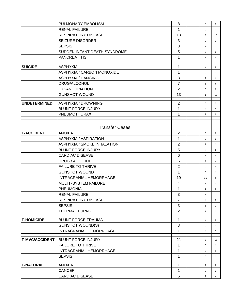|                       | PULMONARY EMBOLISM           | 8              | 5              | 3 <sup>1</sup> |
|-----------------------|------------------------------|----------------|----------------|----------------|
|                       | <b>RENAL FAILURE</b>         | $\mathbf 1$    | $\mathbf 0$    | 1              |
|                       | <b>RESPIRATORY DISEASE</b>   | 13             | 3              | 10             |
|                       | SEIZURE DISORDER             | 3              | $\overline{2}$ | $\mathbf{1}$   |
|                       | <b>SEPSIS</b>                | 3              | $\mathbf{1}$   | $\overline{2}$ |
|                       | SUDDEN INFANT DEATH SYNDROME | 5              | $\overline{2}$ | 3              |
|                       | <b>PANCREATITIS</b>          | $\mathbf{1}$   | $\mathbf{1}$   | $\mathbf 0$    |
|                       |                              |                |                |                |
| <b>SUICIDE</b>        | <b>ASPHYXIA</b>              | 1              | 0              | $\mathbf{1}$   |
|                       | ASPHYXIA / CARBON MONOXIDE   | 1              | 0              | 1              |
|                       | <b>ASPHYXIA / HANGING</b>    | 8              | $\mathbf{1}$   | $\overline{7}$ |
|                       | DRUG/ALCOHOL                 | $\overline{7}$ | $\mathbf{1}$   | 6              |
|                       | <b>EXSANGUINATION</b>        | $\overline{2}$ | 0              | $\overline{2}$ |
|                       | <b>GUNSHOT WOUND</b>         | 13             | $\mathbf{1}$   | 12             |
| <b>UNDETERMINED</b>   | <b>ASPHYXIA / DROWNING</b>   | $\overline{2}$ | $\mathbf 0$    | $\overline{2}$ |
|                       | <b>BLUNT FORCE INJURY</b>    | 1              | 0              | 1              |
|                       | <b>PNEUMOTHORAX</b>          | 1              | $\mathbf{1}$   | $\overline{0}$ |
|                       |                              |                |                |                |
|                       | <b>Transfer Cases</b>        |                |                |                |
| <b>T-ACCIDENT</b>     | <b>ANOXIA</b>                | $\overline{2}$ | $\mathbf 0$    | $\overline{2}$ |
|                       | ASPHYXIA / ASPIRATION        | 1              | 0              | 1              |
|                       | ASPHYXIA / SMOKE INHALATION  | $\overline{2}$ | $\mathbf{1}$   | 1              |
|                       | <b>BLUNT FORCE INJURY</b>    | 5              | 3              | $\overline{2}$ |
|                       | <b>CARDIAC DISEASE</b>       | 6              | $\mathbf{1}$   | 5              |
|                       | DRUG / ALCOHOL               | 6              | $\overline{2}$ | $\overline{4}$ |
|                       | <b>FAILURE TO THRIVE</b>     | $\overline{2}$ | $\overline{2}$ | $\mathbf 0$    |
|                       | <b>GUNSHOT WOUND</b>         | 1              | $\mathbf 0$    | $\mathbf{1}$   |
|                       | INTRACRANIAL HEMORRHAGE      | 19             | 11             | 8              |
|                       | <b>MULTI-SYSTEM FAILURE</b>  | 4              | $\mathbf{1}$   | 3              |
|                       | <b>PNEUMONIA</b>             | 1              | $\mathbf{1}$   | $\mathbf 0$    |
|                       | <b>RENAL FAILURE</b>         | 3              | $\mathbf{1}$   | $\overline{2}$ |
|                       | <b>RESPIRATORY DISEASE</b>   | $\overline{7}$ | $\overline{2}$ | 5 <sub>5</sub> |
|                       | <b>SEPSIS</b>                | 3              | $\mathbf{1}$   | $\overline{2}$ |
|                       | <b>THERMAL BURNS</b>         | $\overline{2}$ | $\mathbf{1}$   | 1              |
| <b>T-HOMICIDE</b>     | <b>BLUNT FORCE TRAUMA</b>    | 1              | 0              | 1              |
|                       | <b>GUNSHOT WOUND(S)</b>      | 3              | $\mathbf 0$    | 3              |
|                       | INTRACRANIAL HEMORRHAGE      | $\mathbf{1}$   | 0              | 1              |
|                       |                              |                |                |                |
| <b>T-MVC/ACCIDENT</b> | <b>BLUNT FORCE INJURY</b>    | 21             | 3              | 18             |
|                       | <b>FAILURE TO THRIVE</b>     | $\mathbf{1}$   | 0              | $\mathbf{1}$   |
|                       | INTRACRANIAL HEMORRHAGE      | 1              | $\mathbf 0$    | 1              |
|                       | <b>SEPSIS</b>                | 1              | 0              | 1              |
| <b>T-NATURAL</b>      | <b>ANOXIA</b>                | 1              | $\mathbf{1}$   | $\mathbf 0$    |
|                       | <b>CANCER</b>                | 1              | 0              | 1              |
|                       | <b>CARDIAC DISEASE</b>       | 6              | $\overline{2}$ | $\overline{4}$ |
|                       |                              |                |                |                |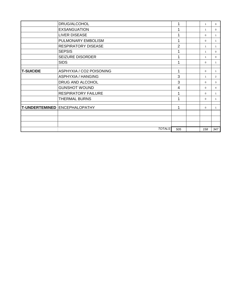|                  | DRUG/ALCOHOL                         | 1   | $\mathbf{1}$ | $\mathbf{0}$   |
|------------------|--------------------------------------|-----|--------------|----------------|
|                  | <b>EXSANGUATION</b>                  | 1   | $\mathbf{1}$ | $\Omega$       |
|                  | <b>LIVER DISEASE</b>                 |     | $\mathbf 0$  | $\mathbf{1}$   |
|                  | PULMONARY EMBOLISM                   |     | $\mathbf 0$  | $\mathbf{1}$   |
|                  | <b>RESPIRATORY DISEASE</b>           | 2   | $\mathbf{1}$ | $\mathbf{1}$   |
|                  | <b>SEPSIS</b>                        | 1   | $\mathbf{1}$ | $\mathbf{0}$   |
|                  | <b>SEIZURE DISORDER</b>              | 1   | $\mathbf{1}$ | 0              |
|                  | <b>SIDS</b>                          |     | $\mathbf 0$  | 1              |
|                  |                                      |     |              |                |
| <b>T-SUICIDE</b> | ASPHYXIA / CO2 POISONING             | 1   | $\mathbf 0$  | $\mathbf{1}$   |
|                  | <b>ASPHYXIA / HANGING</b>            | 3   | $\mathbf{1}$ | $\overline{2}$ |
|                  | DRUG AND ALCOHOL                     | 3   | $\Omega$     | 3              |
|                  | <b>GUNSHOT WOUND</b>                 | 4   | $\mathbf 0$  | $\overline{4}$ |
|                  | <b>RESPIRATORY FAILURE</b>           | 1   | $\mathbf 0$  | $\mathbf{1}$   |
|                  | <b>THERMAL BURNS</b>                 | 1   | $\Omega$     | $\mathbf{1}$   |
|                  |                                      |     |              |                |
|                  | <b>T-UNDERTEMINED ENCEPHALOPATHY</b> | 1   | $\mathbf 0$  | 1              |
|                  |                                      |     |              |                |
|                  |                                      |     |              |                |
|                  |                                      |     |              |                |
|                  | <b>TOTALS</b>                        | 505 | 158          | 347            |